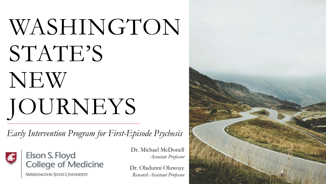# WASHINGTON STATE'S NEW JOURNEYS

*Early Intervention Program for First-Episode Psychosis*



Elson S. Floyd<br>College of Medicine

**WASHINGTON STATE UNIVERSITY** 

Dr. Michael McDonell *Associate Professor* 

Dr. Oladunni Oluwoye *Research Assistant Professor*

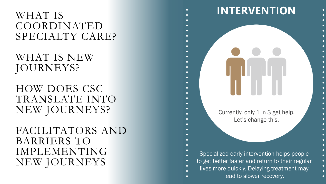### FACILITATORS AND BARRIERS TO IMPLEMENTING NEW JOURNEYS

### HOW DOES CSC TRANSLATE INTO NEW JOURNEYS?

### WHAT IS NEW JOURNEYS?

### WHAT IS COORDINATED SPECIALTY CARE?

Let's change this. Specialized early intervention helps people to get better faster and return to their regular lives more quickly. Delaying treatment may lead to slower recovery.

Currently, only 1 in 3 get help.

**INTERVENTION**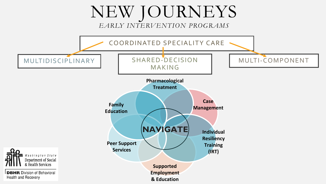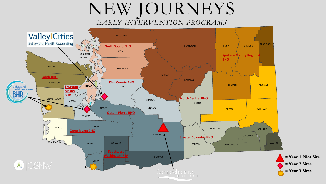### NEW JOURNEYS *EARLY INTERVENTION PROGRAMS*

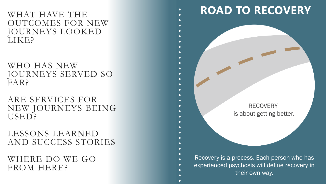WHAT HAVE THE OUTCOMES FOR NEW JOURNEYS LOOKED LIKE?

### WHO HAS NEW JOURNEYS SERVED SO FAR?

### ARE SERVICES FOR NEW JOURNEYS BEING USED?

### LESSONS LEARNED AND SUCCESS STORIES

### WHERE DO WE GO FROM HERE?

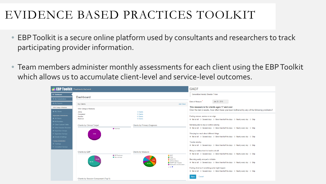## EVIDENCE BASED PRACTICES TOOLKIT

- EBP Toolkit is a secure online platform used by consultants and researchers to track participating provider information.
- Team members administer monthly assessments for each client using the EBP Toolkit which allows us to accumulate client-level and service-level outcomes.

| <b>TEBP TOOIKIT</b> Treatments that work                                                       |                                              |                               |                                                  |                                                                               | GAD7                                                                                                                                                                         |  |  |
|------------------------------------------------------------------------------------------------|----------------------------------------------|-------------------------------|--------------------------------------------------|-------------------------------------------------------------------------------|------------------------------------------------------------------------------------------------------------------------------------------------------------------------------|--|--|
| <b>El Dashboard</b><br><b>₩</b> My Consultations                                               | Dashboard                                    |                               |                                                  |                                                                               | <b>Generalized Anxiety Disorder 7-item</b>                                                                                                                                   |  |  |
| <b>I.II</b> My Reports<br><b>WSU College of Medicine</b>                                       | My Clients<br><b>WSU College of Medicine</b> |                               |                                                  | <b>Add Client</b>                                                             | Jan 20, 2016<br>Date of Measure<br>This measure is for clients ages 17 and over<br>Over the last 2 weeks, how often have you been bothered by any of the following problems? |  |  |
| & My Clients<br><b>Organization Administration</b><br>& All Clients<br><b>14 All Providers</b> | Active<br>Completed<br>Inactive<br>Referred  |                               | 3 Clients<br>0 Clients<br>0 Clients<br>0 Clients |                                                                               | Feeling nervous, anxious or on edge<br>. Not at all . Several days . More than half the days . Nearly every day . Skip                                                       |  |  |
| Client Custom Fields<br><b>■ Client Session Structure</b><br><b>4 Supervisor Groups</b>        | <b>Clients by Clinical Target</b>            | Psychosis                     | <b>Clients by Primary Diagnosis</b>              |                                                                               | Not being able to stop or control worrying<br>. Not at all . Several days . More than half the days . Nearly every day . Skip                                                |  |  |
| Supervisor Surveys<br>▲ Details & Settings<br><b>Training Administration</b>                   | 100%                                         |                               |                                                  |                                                                               | Worrying too much about different things<br>. Not at all . Several days . More than half the days . Nearly every day . Skip                                                  |  |  |
| <b><math>*</math> Trainings</b><br><b>⊙</b> Consultant Surveys                                 |                                              |                               |                                                  |                                                                               | Trouble relaxing<br>. Not at all . Several days . More than half the days . Nearly every day . Skip                                                                          |  |  |
|                                                                                                | Clients by EBP<br>33.3%                      | CBT-Psychosis<br>New Journeys | <b>Clients by Measure</b>                        | GAD7<br>P <sub>HQ9</sub><br>$CAPE-P15$                                        | Being so restless that it is hard to sit still<br>. Not at all . Several days . More than half the days . Nearly every day . Skip<br>Becoming easily annoyed or irritable    |  |  |
|                                                                                                | 66.7%                                        |                               | 26.7%                                            | CDPSS (Weekly)<br>CRAFFT with Tobacco<br>Employment and Education.<br>△ 1/2 ▼ | . Not at all  ightare Several days  ightare than half the days  ightare Nearly every day  ightare Skip<br>Feeling afraid as if something awful might happen                  |  |  |
|                                                                                                |                                              |                               |                                                  |                                                                               | . Not at all . Several days . More than half the days . Nearly every day . Skip<br>Cancel                                                                                    |  |  |
|                                                                                                | Clients by Session Component (Top 5)         |                               |                                                  |                                                                               |                                                                                                                                                                              |  |  |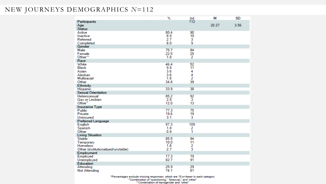#### NEW JOURNEYS DEMOGRAPHICS *N*=112

|                                                                                     | Z                                | $\frac{(n)}{112}$                    | М     | SD   |
|-------------------------------------------------------------------------------------|----------------------------------|--------------------------------------|-------|------|
| Participants<br>Age<br><b>Status</b>                                                |                                  |                                      | 20.27 | 3.56 |
| Active<br>Inactive<br>Referred<br>Completed                                         | 80.4<br>8.9<br>2.7<br>8.0        | 90<br>10<br>3<br>9                   |       |      |
| Gender                                                                              |                                  |                                      |       |      |
| Male<br>Female<br>Other**                                                           | 75.7<br>22.5<br>1.8              | 84<br>25<br>2                        |       |      |
| Race                                                                                |                                  |                                      |       |      |
| White<br><b>Black</b><br>Asian<br>Alaskan<br>Multiracial                            | 46.4<br>9.8<br>3.6<br>3.6<br>1.8 | 52<br>11<br>4<br>4<br>$\overline{2}$ |       |      |
| Other<br>Ethnicity                                                                  | 34.8                             | 39                                   |       |      |
| Hispanic                                                                            | 33.9                             | 38                                   |       |      |
| <b>Sexual Orientation</b>                                                           |                                  |                                      |       |      |
| Heterosexual<br>Gay or Lesbian<br>Other <sup>^</sup>                                | 85.2<br>2.8<br>12.0              | 92<br>3<br>13                        |       |      |
| <b>Insurance Type</b>                                                               |                                  |                                      |       |      |
| Public<br>Private<br>Uninsured                                                      | 77.3<br>19.6<br>3.1              | 75<br>19<br>3                        |       |      |
| <b>Preferred Language</b>                                                           |                                  |                                      |       |      |
| English<br>Spanish<br>Other                                                         | 97.3<br>1.8<br>0.9               | 109<br>2<br>1                        |       |      |
| <b>Living Situation</b>                                                             |                                  |                                      |       |      |
| <b>Stable</b><br>Temporary<br><b>Homeless</b><br>Other (institutionalized/unstable) | 85.5<br>10.0<br>1.8<br>2.7       | 94<br>11<br>2<br>3                   |       |      |
| Employment                                                                          |                                  |                                      |       |      |
| Employed<br>Unemployed                                                              | 17.3<br>82.7                     | 19<br>91                             |       |      |
| Education<br>Attending                                                              | 25.9                             | 29                                   |       |      |
| Not Attending                                                                       | 74.1                             | 81                                   |       |      |

"Percentages exclude missing responses, which are 15 or fewer in each category<br>"Combination of "questioning," "bisexual," and "other"<br>"Combination of transgender and "other"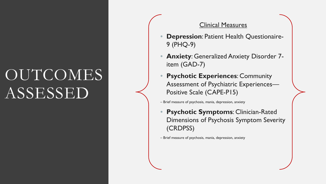# **OUTCOMES** ASSESSED

#### Clinical Measures

- **Depression**: Patient Health Questionaire-9 (PHQ-9)
- **Anxiety**: Generalized Anxiety Disorder 7 item (GAD-7)
- **Psychotic Experiences: Community** Assessment of Psychiatric Experiences— Positive Scale (CAPE-P15)
- Brief measure of psychosis, mania, depression, anxiety
- **Psychotic Symptoms**: Clinician-Rated Dimensions of Psychosis Symptom Severity (CRDPSS)

– Brief measure of psychosis, mania, depression, anxiety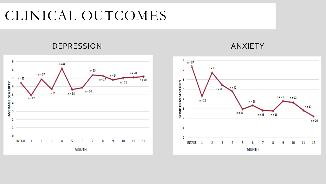## CLINICAL OUTCOMES

### DEPRESSION ANXIETY



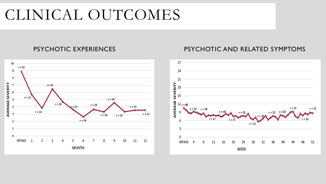# CLINICAL OUTCOMES



#### PSYCHOTIC EXPERIENCES PSYCHOTIC AND RELATED SYMPTOMS

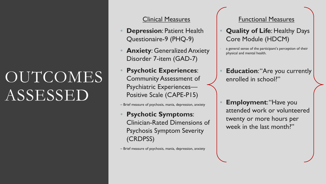# OUTCOMES ASSESSED

#### Clinical Measures

- **Depression**: Patient Health Questionaire-9 (PHQ-9)
- **Anxiety**: Generalized Anxiety Disorder 7-item (GAD-7)
- **Psychotic Experiences**: Community Assessment of Psychiatric Experiences— Positive Scale (CAPE-P15)

– Brief measure of psychosis, mania, depression, anxiety

• **Psychotic Symptoms**: Clinician-Rated Dimensions of Psychosis Symptom Severity (CRDPSS)

– Brief measure of psychosis, mania, depression, anxiety

#### Functional Measures

- **Quality of Life**: Healthy Days Core Module (HDCM)
- a general sense of the participant's perception of their physical and mental health.
- **Education: "Are you currently** enrolled in school?"
- **Employment: "Have you** attended work or volunteered twenty or more hours per week in the last month?"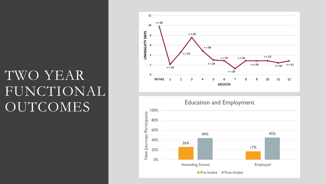## TWO YEAR FUNCTIONAL OUTCOMES



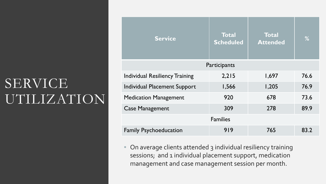# SERVICE UTILIZATION

| <b>Total</b><br><b>Scheduled</b> | <b>Total</b><br><b>Attended</b> | %    |  |  |  |  |  |  |  |
|----------------------------------|---------------------------------|------|--|--|--|--|--|--|--|
| Participants                     |                                 |      |  |  |  |  |  |  |  |
| 2,215                            | 1,697                           | 76.6 |  |  |  |  |  |  |  |
| 1,566                            | 1,205                           | 76.9 |  |  |  |  |  |  |  |
| 920                              | 678                             | 73.6 |  |  |  |  |  |  |  |
| 309                              | 278                             | 89.9 |  |  |  |  |  |  |  |
| <b>Families</b>                  |                                 |      |  |  |  |  |  |  |  |
| 919                              | 765                             | 83.2 |  |  |  |  |  |  |  |
|                                  |                                 |      |  |  |  |  |  |  |  |

• On average clients attended 3 individual resiliency training sessions; and 1 individual placement support, medication management and case management session per month.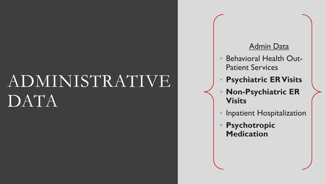# ADMINISTRATIVE DATA

### Admin Data

- Behavioral Health Out-Patient Services
- **Psychiatric ER Visits**
- **Non-Psychiatric ER Visits**
- Inpatient Hospitalization
- **Psychotropic Medication**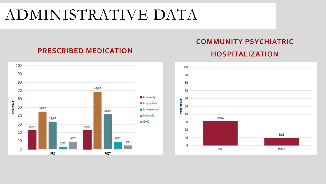# ADMINISTRATIVE DATA

#### 100 90 80  $46/67$ 70 Antianxiety 60 PERCENT **Antipsychotic** 50 30/67 Antidepressant 28/67 40 Antimania 22/67  $M$ ADHD 30  $15/67$ 15/67 20  $6/67$  $6/67$ 10  $3/67$ 2/67  $\bf{0}$ **PRE POST**

### **PRESCRIBED MEDICATION**

### **COMMUNITY PSYCHIATRIC**

#### **HOSPITALIZATION**

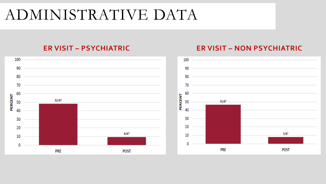# ADMINISTRATIVE DATA



#### **ER VISIT – PSYCHIATRIC ER VISIT – NON PSYCHIATRIC**

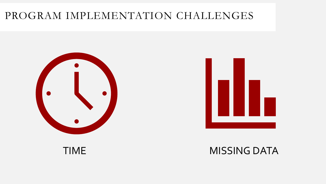### PROGRAM IMPLEMENTATION CHALLENGES





### TIME MISSING DATA